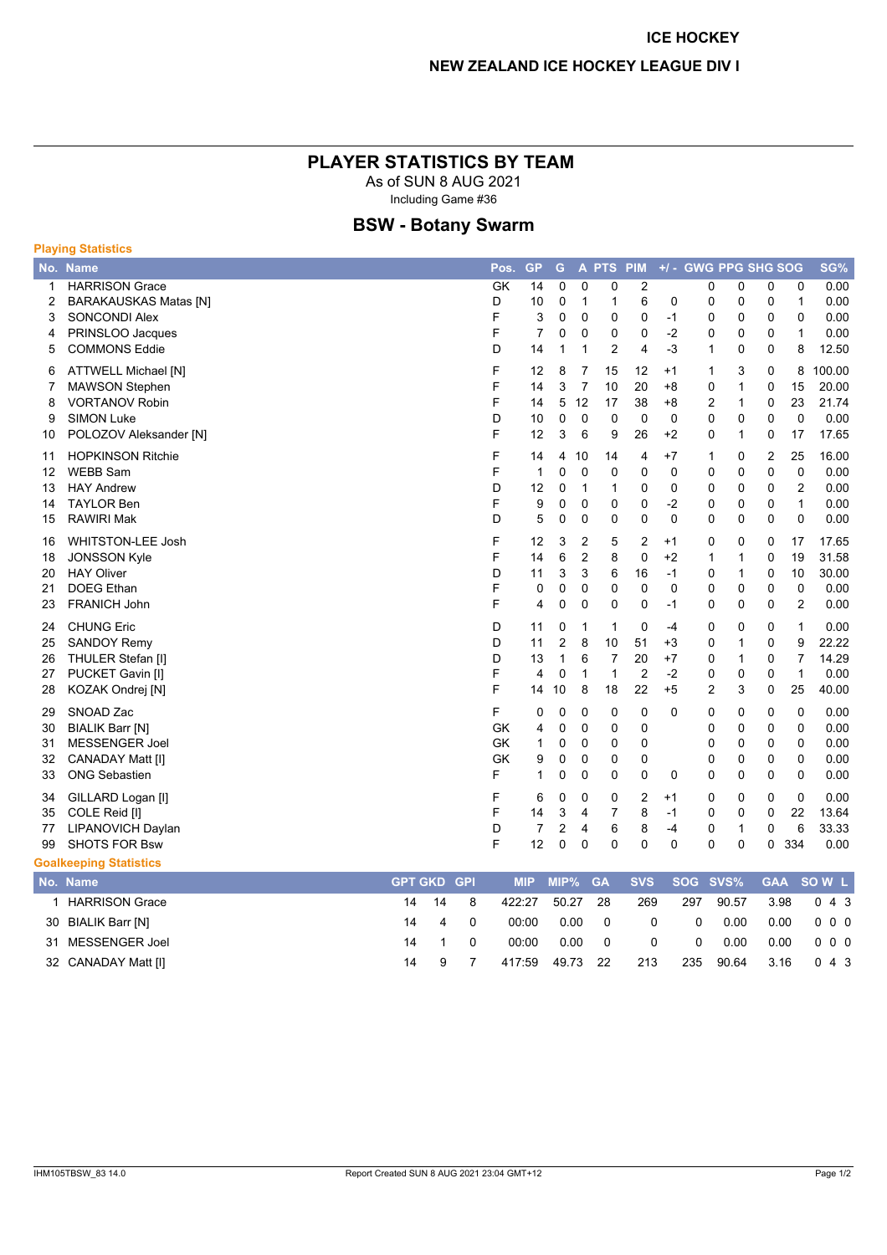## PLAYER STATISTICS BY TEAM

As of SUN 8 AUG 2021 Including Game #36

# **BSW - Botany Swarm**

| <b>Playing Statistics</b>     |                                                       |                |            |                |                |                |                             |                             |                                   |                     |                     |                              |                            |                         |               |
|-------------------------------|-------------------------------------------------------|----------------|------------|----------------|----------------|----------------|-----------------------------|-----------------------------|-----------------------------------|---------------------|---------------------|------------------------------|----------------------------|-------------------------|---------------|
|                               | No. Name                                              |                |            | Pos.           | <b>GP</b>      | G              |                             | A PTS                       | PIM                               |                     | +/- GWG PPG SHG SOG |                              |                            |                         | SG%           |
| 1<br>$\overline{2}$           | <b>HARRISON Grace</b><br><b>BARAKAUSKAS Matas [N]</b> |                |            | <b>GK</b><br>D | 14<br>10       | $\Omega$<br>0  | $\mathbf{0}$<br>$\mathbf 1$ | 0<br>1                      | $\overline{2}$<br>$6\phantom{1}6$ | 0                   | 0<br>0              | $\mathbf 0$<br>$\mathbf 0$   | 0<br>0                     | 0<br>$\mathbf{1}$       | 0.00<br>0.00  |
| 3                             | <b>SONCONDI Alex</b>                                  |                |            | F              | 3              | 0              | $\Omega$                    | $\mathbf{0}$                | $\mathbf 0$                       | $-1$                | 0                   | $\mathbf 0$                  | 0                          | $\Omega$                | 0.00          |
| 4                             | PRINSLOO Jacques                                      |                |            | F              | $\overline{7}$ | 0              | $\mathbf 0$                 | 0                           | 0                                 | $-2$                | 0                   | 0                            | $\Omega$                   | $\mathbf{1}$            | 0.00          |
| 5                             | <b>COMMONS Eddie</b>                                  |                |            | D              | 14             | 1              | $\mathbf 1$                 | $\overline{2}$              | $\overline{4}$                    | $-3$                | 1                   | $\mathbf 0$                  | $\Omega$                   | 8                       | 12.50         |
| 6                             | <b>ATTWELL Michael [N]</b>                            |                |            | F              | 12             | 8              | 7                           | 15                          | 12                                | $+1$                | 1                   | 3                            | 0                          | 8                       | 100.00        |
| 7                             | <b>MAWSON Stephen</b>                                 |                |            | F              | 14             | 3              | $\overline{7}$              | 10                          | 20                                | $+8$                | 0                   | $\mathbf{1}$                 | $\Omega$                   | 15                      | 20.00         |
| 8<br>9                        | <b>VORTANOV Robin</b><br><b>SIMON Luke</b>            |                |            | F<br>D         | 14<br>10       | 5<br>0         | 12<br>$\Omega$              | 17<br>$\Omega$              | 38<br>$\mathbf 0$                 | $+8$<br>$\Omega$    | 2<br>0              | $\mathbf{1}$<br>$\mathbf{0}$ | $\mathbf 0$<br>$\Omega$    | 23<br>$\mathbf{0}$      | 21.74<br>0.00 |
| 10                            | POLOZOV Aleksander [N]                                |                |            | F              | 12             | 3              | 6                           | 9                           | 26                                | $+2$                | 0                   | $\mathbf{1}$                 | $\mathbf 0$                | 17                      | 17.65         |
|                               |                                                       |                |            |                |                |                |                             |                             |                                   |                     |                     |                              |                            |                         |               |
| 11<br>12                      | <b>HOPKINSON Ritchie</b><br><b>WEBB Sam</b>           |                |            | F<br>F         | 14<br>1        | 4<br>0         | 10<br>$\mathbf 0$           | 14<br>$\mathbf{0}$          | 4<br>$\mathbf 0$                  | $+7$<br>$\mathbf 0$ | 1<br>0              | 0<br>0                       | $\overline{2}$<br>0        | 25<br>$\mathbf{0}$      | 16.00<br>0.00 |
| 13                            | <b>HAY Andrew</b>                                     |                |            | D              | 12             | 0              | $\mathbf 1$                 | 1                           | $\mathbf 0$                       | 0                   | 0                   | 0                            | $\mathbf 0$                | $\overline{2}$          | 0.00          |
| 14                            | <b>TAYLOR Ben</b>                                     |                |            | F              | 9              | 0              | $\mathbf 0$                 | $\mathbf 0$                 | $\mathbf 0$                       | $-2$                | 0                   | $\mathbf 0$                  | 0                          | $\mathbf{1}$            | 0.00          |
| 15                            | <b>RAWIRI Mak</b>                                     |                |            | D              | 5              | 0              | $\mathbf 0$                 | 0                           | $\mathbf 0$                       | $\mathbf 0$         | 0                   | $\mathbf 0$                  | $\Omega$                   | $\mathbf 0$             | 0.00          |
| 16                            | <b>WHITSTON-LEE Josh</b>                              |                |            | F              | 12             | 3              | $\overline{2}$              | 5                           | $\overline{2}$                    | $+1$                | 0                   | 0                            | $\mathbf 0$                | 17                      | 17.65         |
| 18                            | <b>JONSSON Kyle</b>                                   |                |            | F              | 14             | 6              | $\overline{2}$              | 8                           | $\mathbf 0$                       | $+2$                | 1                   | $\mathbf{1}$                 | $\mathbf 0$                | 19                      | 31.58         |
| 20                            | <b>HAY Oliver</b>                                     |                |            | D              | 11             | 3              | 3                           | 6                           | 16                                | $-1$                | 0                   | $\mathbf{1}$                 | $\Omega$                   | 10                      | 30.00         |
| 21                            | <b>DOEG Ethan</b>                                     |                |            | F              | 0              | 0              | $\mathbf 0$                 | $\mathbf 0$                 | $\mathbf 0$                       | $\mathbf 0$         | 0                   | $\mathbf 0$                  | $\mathbf 0$                | $\mathbf 0$             | 0.00          |
| 23                            | <b>FRANICH John</b>                                   |                |            | F              | 4              | 0              | $\Omega$                    | $\mathbf{0}$                | $\mathbf{0}$                      | $-1$                | 0                   | $\mathbf{0}$                 | $\Omega$                   | $\overline{2}$          | 0.00          |
| 24                            | <b>CHUNG Eric</b>                                     |                |            | D              | 11             | 0              | 1                           | 1                           | $\mathbf 0$                       | $-4$                | 0                   | 0                            | 0                          | 1                       | 0.00          |
| 25                            | <b>SANDOY Remy</b>                                    |                |            | D              | 11             | $\overline{2}$ | 8                           | 10                          | 51                                | $+3$                | 0                   | $\mathbf{1}$                 | $\Omega$                   | 9                       | 22.22         |
| 26                            | THULER Stefan [I]                                     |                |            | D<br>F         | 13             | $\mathbf{1}$   | 6<br>1                      | $\overline{7}$<br>1         | 20                                | $+7$                | 0                   | $\mathbf{1}$                 | $\mathbf 0$                | $\overline{7}$<br>1     | 14.29         |
| 27<br>28                      | PUCKET Gavin [I]<br>KOZAK Ondrej [N]                  |                |            | F              | 4<br>14        | 0<br>10        | 8                           | 18                          | $\overline{2}$<br>22              | $-2$<br>$+5$        | 0<br>$\overline{2}$ | $\mathbf 0$<br>3             | $\mathbf 0$<br>$\mathbf 0$ | 25                      | 0.00<br>40.00 |
|                               | SNOAD Zac                                             |                |            | F              |                |                |                             |                             |                                   |                     |                     |                              |                            |                         |               |
| 29<br>30                      | <b>BIALIK Barr [N]</b>                                |                |            | <b>GK</b>      | 0<br>4         | $\Omega$<br>0  | $\Omega$<br>$\mathbf{0}$    | $\mathbf 0$<br>$\mathbf{0}$ | $\mathbf 0$<br>$\mathbf 0$        | $\Omega$            | 0<br>0              | 0<br>$\Omega$                | 0<br>$\Omega$              | $\mathbf 0$<br>$\Omega$ | 0.00<br>0.00  |
| 31                            | <b>MESSENGER Joel</b>                                 |                |            | <b>GK</b>      | 1              | 0              | $\mathbf 0$                 | 0                           | $\mathbf 0$                       |                     | 0                   | $\mathbf 0$                  | $\mathbf 0$                | $\mathbf 0$             | 0.00          |
| 32                            | <b>CANADAY Matt [I]</b>                               |                |            | <b>GK</b>      | 9              | $\mathbf 0$    | $\mathbf{0}$                | $\mathbf{0}$                | $\mathbf 0$                       |                     | 0                   | $\mathbf 0$                  | $\mathbf 0$                | $\mathbf 0$             | 0.00          |
| 33                            | <b>ONG Sebastien</b>                                  |                |            | F              | $\mathbf{1}$   | $\Omega$       | $\Omega$                    | $\mathbf{0}$                | $\mathbf 0$                       | $\mathbf 0$         | 0                   | $\Omega$                     | 0                          | $\mathbf 0$             | 0.00          |
| 34                            | GILLARD Logan [I]                                     |                |            | F              | 6              | 0              | $\Omega$                    | $\mathbf{0}$                | $\overline{2}$                    | $+1$                | 0                   | $\mathbf{0}$                 | $\Omega$                   | $\Omega$                | 0.00          |
| 35                            | COLE Reid [I]                                         |                |            | F              | 14             | 3              | $\overline{4}$              | $\overline{7}$              | 8                                 | $-1$                | 0                   | 0                            | $\mathbf 0$                | 22                      | 13.64         |
| 77                            | <b>LIPANOVICH Daylan</b>                              |                |            | D              | $\overline{7}$ | 2              | 4                           | 6                           | 8                                 | $-4$                | 0                   | $\mathbf{1}$                 | 0                          | 6                       | 33.33         |
| 99                            | <b>SHOTS FOR Bsw</b>                                  |                |            | F              | 12             | $\mathbf{0}$   | $\mathbf 0$                 | $\mathbf{0}$                | $\mathbf 0$                       | $\Omega$            | 0                   | 0                            | 0                          | 334                     | 0.00          |
| <b>Goalkeeping Statistics</b> |                                                       |                |            |                |                |                |                             |                             |                                   |                     |                     |                              |                            |                         |               |
|                               | No. Name                                              | <b>GPT GKD</b> | <b>GPI</b> |                | <b>MIP</b>     | MIP%           |                             | <b>GA</b>                   | <b>SVS</b>                        |                     | SOG SVS%            |                              | <b>GAA</b>                 |                         | SOW L         |

| <b>HARRISON Grace</b> | 14 14 | - 8       | 422:27 | 50.27           | -28 | 269            | 297            | 90.57 | 3.98 | $0\;4\;3$  |
|-----------------------|-------|-----------|--------|-----------------|-----|----------------|----------------|-------|------|------------|
| 30 BIALIK Barr [N]    | 14 4  | $\bigcap$ | 00:00  | $0.00 \qquad 0$ |     | 0              | - 0            | 0.00  |      | 0.00 000   |
| 31 MESSENGER Joel     |       |           | 00:00  | $0.00 \qquad 0$ |     | $\overline{0}$ | $\overline{0}$ | 0.00  |      | 0.00 0 0 0 |
| 32 CANADAY Matt [I]   |       |           | 417:59 | 49.73 22        |     | 213            | 235            | 90.64 |      | 3.16 0 4 3 |